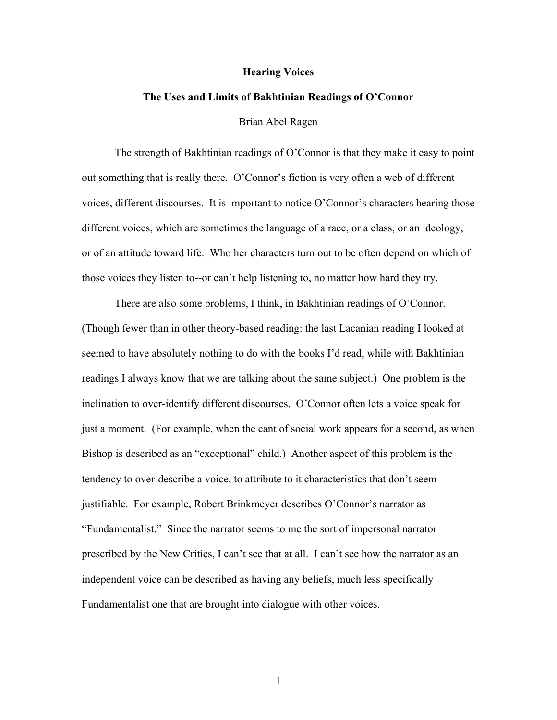## **Hearing Voices**

## **The Uses and Limits of Bakhtinian Readings of O'Connor**

Brian Abel Ragen

The strength of Bakhtinian readings of O'Connor is that they make it easy to point out something that is really there. O'Connor's fiction is very often a web of different voices, different discourses. It is important to notice O'Connor's characters hearing those different voices, which are sometimes the language of a race, or a class, or an ideology, or of an attitude toward life. Who her characters turn out to be often depend on which of those voices they listen to--or can't help listening to, no matter how hard they try.

There are also some problems, I think, in Bakhtinian readings of O'Connor. (Though fewer than in other theory-based reading: the last Lacanian reading I looked at seemed to have absolutely nothing to do with the books I'd read, while with Bakhtinian readings I always know that we are talking about the same subject.) One problem is the inclination to over-identify different discourses. O'Connor often lets a voice speak for just a moment. (For example, when the cant of social work appears for a second, as when Bishop is described as an "exceptional" child.) Another aspect of this problem is the tendency to over-describe a voice, to attribute to it characteristics that don't seem justifiable. For example, Robert Brinkmeyer describes O'Connor's narrator as "Fundamentalist." Since the narrator seems to me the sort of impersonal narrator prescribed by the New Critics, I can't see that at all. I can't see how the narrator as an independent voice can be described as having any beliefs, much less specifically Fundamentalist one that are brought into dialogue with other voices.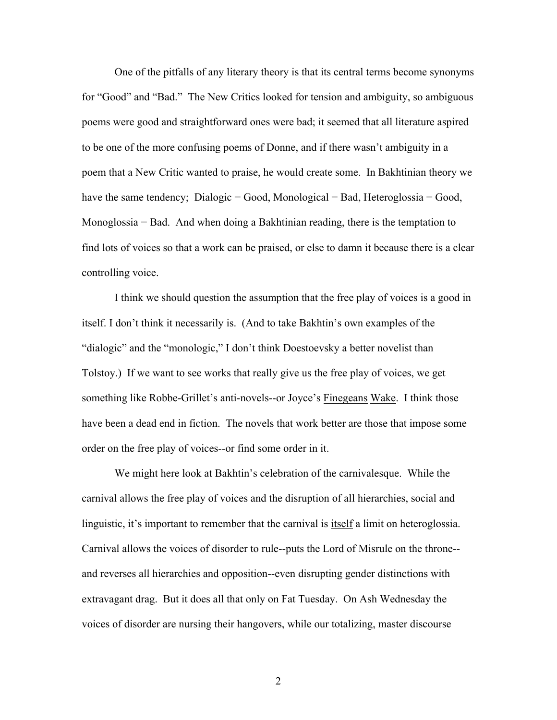One of the pitfalls of any literary theory is that its central terms become synonyms for "Good" and "Bad." The New Critics looked for tension and ambiguity, so ambiguous poems were good and straightforward ones were bad; it seemed that all literature aspired to be one of the more confusing poems of Donne, and if there wasn't ambiguity in a poem that a New Critic wanted to praise, he would create some. In Bakhtinian theory we have the same tendency; Dialogic = Good, Monological = Bad, Heteroglossia = Good, Monoglossia = Bad. And when doing a Bakhtinian reading, there is the temptation to find lots of voices so that a work can be praised, or else to damn it because there is a clear controlling voice.

I think we should question the assumption that the free play of voices is a good in itself. I don't think it necessarily is. (And to take Bakhtin's own examples of the "dialogic" and the "monologic," I don't think Doestoevsky a better novelist than Tolstoy.) If we want to see works that really give us the free play of voices, we get something like Robbe-Grillet's anti-novels--or Joyce's Finegeans Wake. I think those have been a dead end in fiction. The novels that work better are those that impose some order on the free play of voices--or find some order in it.

We might here look at Bakhtin's celebration of the carnivalesque. While the carnival allows the free play of voices and the disruption of all hierarchies, social and linguistic, it's important to remember that the carnival is itself a limit on heteroglossia. Carnival allows the voices of disorder to rule--puts the Lord of Misrule on the throne- and reverses all hierarchies and opposition--even disrupting gender distinctions with extravagant drag. But it does all that only on Fat Tuesday. On Ash Wednesday the voices of disorder are nursing their hangovers, while our totalizing, master discourse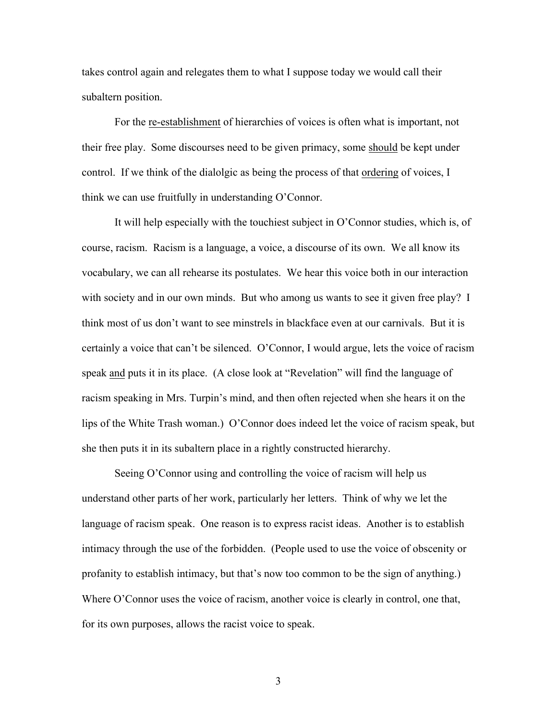takes control again and relegates them to what I suppose today we would call their subaltern position.

For the re-establishment of hierarchies of voices is often what is important, not their free play. Some discourses need to be given primacy, some should be kept under control. If we think of the dialolgic as being the process of that ordering of voices, I think we can use fruitfully in understanding O'Connor.

It will help especially with the touchiest subject in O'Connor studies, which is, of course, racism. Racism is a language, a voice, a discourse of its own. We all know its vocabulary, we can all rehearse its postulates. We hear this voice both in our interaction with society and in our own minds. But who among us wants to see it given free play? I think most of us don't want to see minstrels in blackface even at our carnivals. But it is certainly a voice that can't be silenced. O'Connor, I would argue, lets the voice of racism speak and puts it in its place. (A close look at "Revelation" will find the language of racism speaking in Mrs. Turpin's mind, and then often rejected when she hears it on the lips of the White Trash woman.) O'Connor does indeed let the voice of racism speak, but she then puts it in its subaltern place in a rightly constructed hierarchy.

Seeing O'Connor using and controlling the voice of racism will help us understand other parts of her work, particularly her letters. Think of why we let the language of racism speak. One reason is to express racist ideas. Another is to establish intimacy through the use of the forbidden. (People used to use the voice of obscenity or profanity to establish intimacy, but that's now too common to be the sign of anything.) Where O'Connor uses the voice of racism, another voice is clearly in control, one that, for its own purposes, allows the racist voice to speak.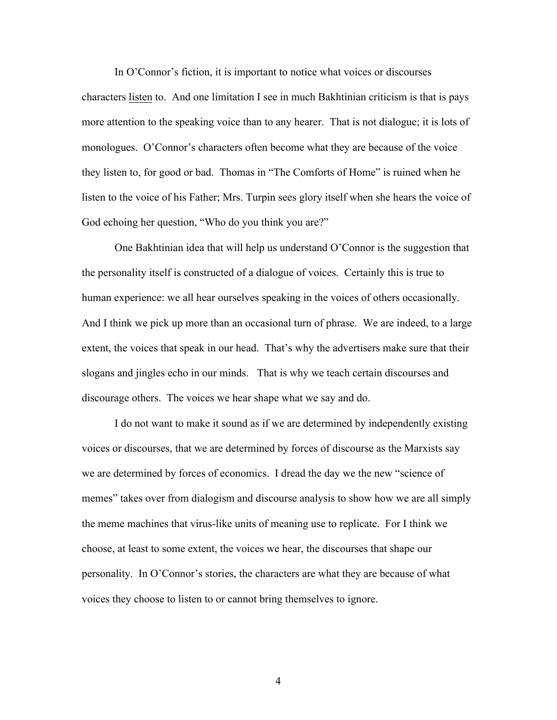In O'Connor's fiction, it is important to notice what voices or discourses characters listen to. And one limitation I see in much Bakhtinian criticism is that is pays more attention to the speaking voice than to any hearer. That is not dialogue; it is lots of monologues. O'Connor's characters often become what they are because of the voice they listen to, for good or bad. Thomas in "The Comforts of Home" is ruined when he listen to the voice of his Father; Mrs. Turpin sees glory itself when she hears the voice of God echoing her question, "Who do you think you are?"

One Bakhtinian idea that will help us understand O'Connor is the suggestion that the personality itself is constructed of a dialogue of voices. Certainly this is true to human experience: we all hear ourselves speaking in the voices of others occasionally. And I think we pick up more than an occasional turn of phrase. We are indeed, to a large extent, the voices that speak in our head. That's why the advertisers make sure that their slogans and jingles echo in our minds. That is why we teach certain discourses and discourage others. The voices we hear shape what we say and do.

I do not want to make it sound as if we are determined by independently existing voices or discourses, that we are determined by forces of discourse as the Marxists say we are determined by forces of economics. I dread the day we the new "science of memes" takes over from dialogism and discourse analysis to show how we are all simply the meme machines that virus-like units of meaning use to replicate. For I think we choose, at least to some extent, the voices we hear, the discourses that shape our personality. In O'Connor's stories, the characters are what they are because of what voices they choose to listen to or cannot bring themselves to ignore.